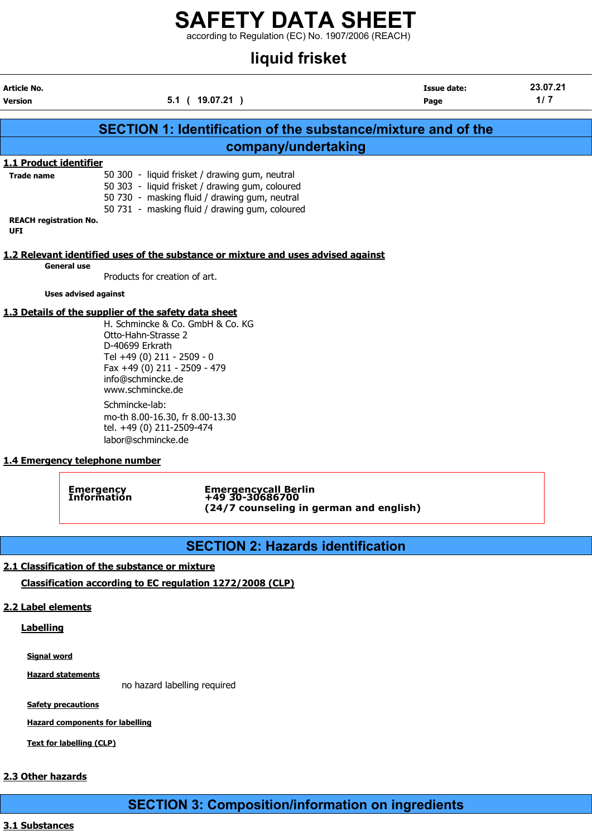according to Regulation (EC) No. 1907/2006 (REACH)

# liquid frisket

| <b>Article No.</b><br><b>Version</b>        | $5.1$ ( $19.07.21$ )                                                                                                                                                                                                                                                                                                                              | <b>Issue date:</b><br>Page | 23.07.21<br>$1/7$ |
|---------------------------------------------|---------------------------------------------------------------------------------------------------------------------------------------------------------------------------------------------------------------------------------------------------------------------------------------------------------------------------------------------------|----------------------------|-------------------|
|                                             | <b>SECTION 1: Identification of the substance/mixture and of the</b>                                                                                                                                                                                                                                                                              |                            |                   |
|                                             | company/undertaking                                                                                                                                                                                                                                                                                                                               |                            |                   |
| 1.1 Product identifier                      |                                                                                                                                                                                                                                                                                                                                                   |                            |                   |
| <b>Trade name</b>                           | 50 300 - liquid frisket / drawing gum, neutral<br>50 303 - liquid frisket / drawing gum, coloured<br>50 730 - masking fluid / drawing gum, neutral<br>50 731 - masking fluid / drawing gum, coloured                                                                                                                                              |                            |                   |
| <b>REACH registration No.</b><br><b>UFI</b> |                                                                                                                                                                                                                                                                                                                                                   |                            |                   |
|                                             | 1.2 Relevant identified uses of the substance or mixture and uses advised against                                                                                                                                                                                                                                                                 |                            |                   |
| <b>General use</b>                          |                                                                                                                                                                                                                                                                                                                                                   |                            |                   |
|                                             | Products for creation of art.                                                                                                                                                                                                                                                                                                                     |                            |                   |
| <b>Uses advised against</b>                 |                                                                                                                                                                                                                                                                                                                                                   |                            |                   |
|                                             | 1.3 Details of the supplier of the safety data sheet<br>H. Schmincke & Co. GmbH & Co. KG<br>Otto-Hahn-Strasse 2<br>D-40699 Erkrath<br>Tel +49 (0) 211 - 2509 - 0<br>Fax +49 (0) 211 - 2509 - 479<br>info@schmincke.de<br>www.schmincke.de<br>Schmincke-lab:<br>mo-th 8.00-16.30, fr 8.00-13.30<br>tel. +49 (0) 211-2509-474<br>labor@schmincke.de |                            |                   |

#### 1.4 Emergency telephone number

Emergency Emergencycall Berlin Information +49 30-30686700 (24/7 counseling in german and english)

## SECTION 2: Hazards identification

#### 2.1 Classification of the substance or mixture

Classification according to EC regulation 1272/2008 (CLP)

## 2.2 Label elements

### **Labelling**

Signal word

**Hazard statements** 

no hazard labelling required

Safety precautions

Hazard components for labelling

Text for labelling (CLP)

# 2.3 Other hazards

SECTION 3: Composition/information on ingredients

## 3.1 Substances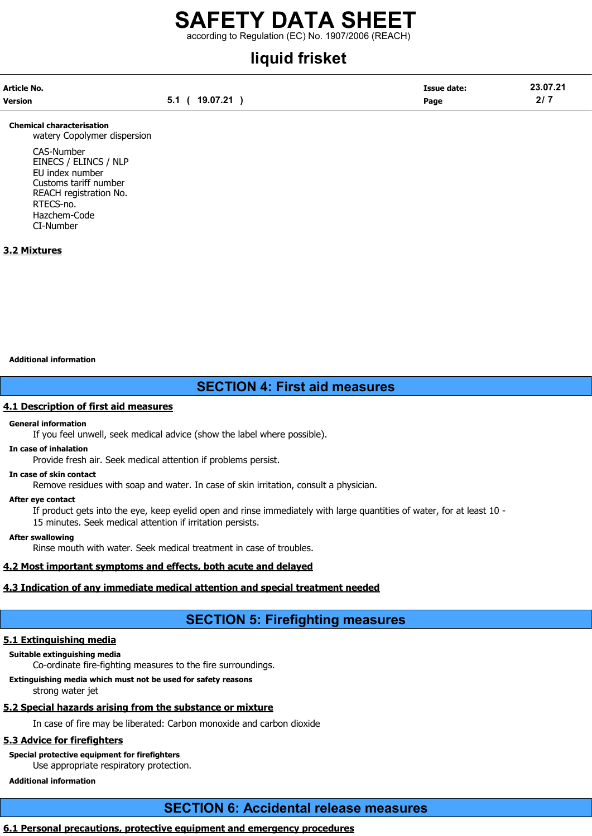according to Regulation (EC) No. 1907/2006 (REACH)

# liquid frisket

| Article No. |                | <b>Issue date:</b> | 23.07.21 |
|-------------|----------------|--------------------|----------|
| Version     | 5.1 ( 19.07.21 | Page               | 2/7      |

#### Chemical characterisation

watery Copolymer dispersion

CAS-Number EINECS / ELINCS / NLP EU index number Customs tariff number REACH registration No. RTECS-no. Hazchem-Code CI-Number

#### 3.2 Mixtures

#### Additional information

## SECTION 4: First aid measures

#### 4.1 Description of first aid measures

#### General information

If you feel unwell, seek medical advice (show the label where possible).

### In case of inhalation

Provide fresh air. Seek medical attention if problems persist.

#### In case of skin contact

Remove residues with soap and water. In case of skin irritation, consult a physician.

#### After eye contact

If product gets into the eye, keep eyelid open and rinse immediately with large quantities of water, for at least 10 - 15 minutes. Seek medical attention if irritation persists.

#### After swallowing

Rinse mouth with water. Seek medical treatment in case of troubles.

#### 4.2 Most important symptoms and effects, both acute and delayed

#### 4.3 Indication of any immediate medical attention and special treatment needed

# SECTION 5: Firefighting measures

#### 5.1 Extinguishing media

Suitable extinguishing media

Co-ordinate fire-fighting measures to the fire surroundings.

Extinguishing media which must not be used for safety reasons

strong water jet

#### 5.2 Special hazards arising from the substance or mixture

In case of fire may be liberated: Carbon monoxide and carbon dioxide

#### 5.3 Advice for firefighters

## Special protective equipment for firefighters

Use appropriate respiratory protection.

Additional information

# SECTION 6: Accidental release measures

#### 6.1 Personal precautions, protective equipment and emergency procedures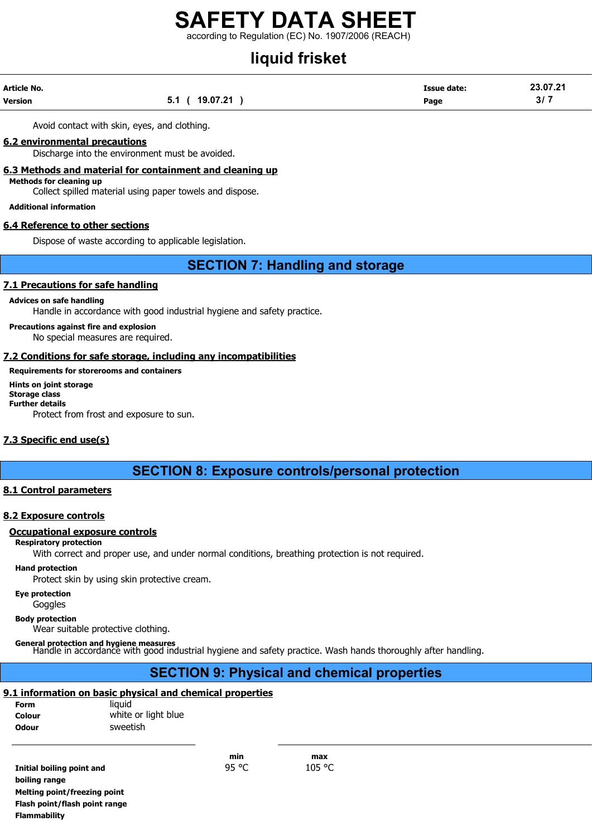according to Regulation (EC) No. 1907/2006 (REACH)

# liquid frisket

| Article No. |                        | <b>Issue date:</b> | 23.07.21 |
|-------------|------------------------|--------------------|----------|
| Version     | 19.07.21<br>-51<br>J.I | Page               | 3/7      |

Avoid contact with skin, eyes, and clothing.

#### 6.2 environmental precautions

Discharge into the environment must be avoided.

6.3 Methods and material for containment and cleaning up

Methods for cleaning up

Collect spilled material using paper towels and dispose.

Additional information

#### 6.4 Reference to other sections

Dispose of waste according to applicable legislation.

## SECTION 7: Handling and storage

#### 7.1 Precautions for safe handling

#### Advices on safe handling

Handle in accordance with good industrial hygiene and safety practice.

Precautions against fire and explosion No special measures are required.

#### 7.2 Conditions for safe storage, including any incompatibilities

#### Requirements for storerooms and containers

Hints on joint storage Storage class Further details Protect from frost and exposure to sun.

#### 7.3 Specific end use(s)

## SECTION 8: Exposure controls/personal protection

#### 8.1 Control parameters

#### 8.2 Exposure controls

#### Occupational exposure controls

#### Respiratory protection

With correct and proper use, and under normal conditions, breathing protection is not required.

#### Hand protection

Protect skin by using skin protective cream.

Eye protection

Goggles

Body protection

Wear suitable protective clothing.

General protection and hygiene measures Handle in accordance with good industrial hygiene and safety practice. Wash hands thoroughly after handling.

# SECTION 9: Physical and chemical properties

## 9.1 information on basic physical and chemical properties

| <b>Form</b>  | liauid              |
|--------------|---------------------|
| Colour       | white or light blue |
| <b>Odour</b> | sweetish            |

min max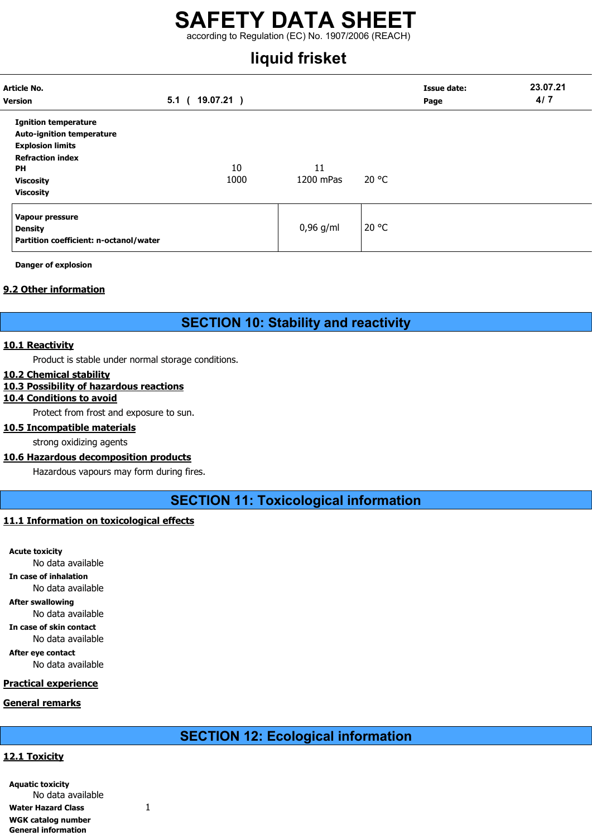# SAFETY DATA SHEET according to Regulation (EC) No. 1907/2006 (REACH)

# liquid frisket

| Article No.<br><b>Version</b>                                                                                                                                              | $5.1$ (<br>19.07.21) |                 |       | <b>Issue date:</b><br>Page | 23.07.21<br>4/7 |
|----------------------------------------------------------------------------------------------------------------------------------------------------------------------------|----------------------|-----------------|-------|----------------------------|-----------------|
| <b>Ignition temperature</b><br><b>Auto-ignition temperature</b><br><b>Explosion limits</b><br><b>Refraction index</b><br><b>PH</b><br><b>Viscosity</b><br><b>Viscosity</b> | 10<br>1000           | 11<br>1200 mPas | 20 °C |                            |                 |
| Vapour pressure<br><b>Density</b><br>Partition coefficient: n-octanol/water                                                                                                |                      | $0,96$ g/ml     | 20 °C |                            |                 |

Danger of explosion

#### 9.2 Other information

## SECTION 10: Stability and reactivity

#### 10.1 Reactivity

Product is stable under normal storage conditions.

#### 10.2 Chemical stability

#### 10.3 Possibility of hazardous reactions

### 10.4 Conditions to avoid

Protect from frost and exposure to sun.

#### 10.5 Incompatible materials

strong oxidizing agents

#### 10.6 Hazardous decomposition products

Hazardous vapours may form during fires.

SECTION 11: Toxicological information

#### 11.1 Information on toxicological effects

Acute toxicity No data available In case of inhalation No data available After swallowing No data available In case of skin contact No data available After eye contact No data available

#### Practical experience

#### General remarks

## SECTION 12: Ecological information

#### 12.1 Toxicity

| <b>Aquatic toxicity</b>    |   |
|----------------------------|---|
| No data available          |   |
| <b>Water Hazard Class</b>  | 1 |
| WGK catalog number         |   |
| <b>General information</b> |   |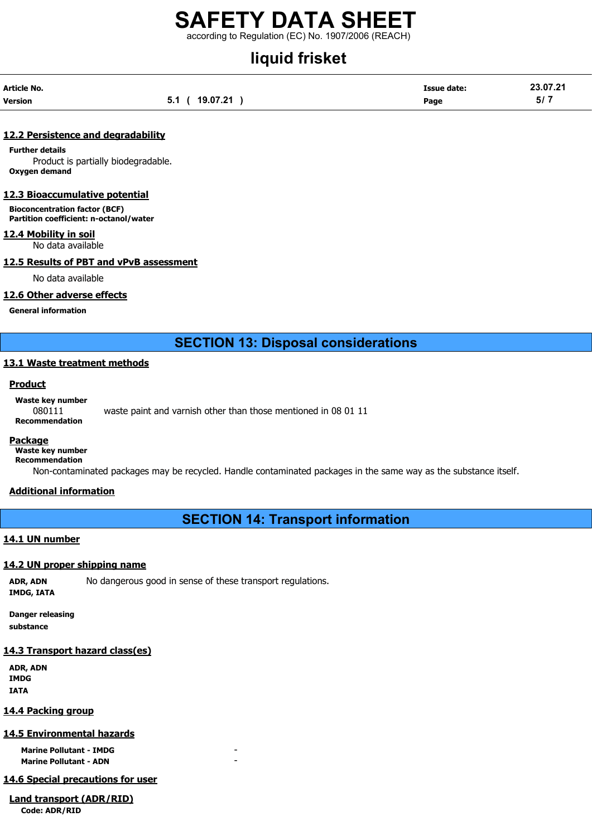according to Regulation (EC) No. 1907/2006 (REACH)

# liquid frisket

| Article No. |                | <b>Issue date:</b> | 23.07.21 |
|-------------|----------------|--------------------|----------|
| Version     | 5.1 ( 19.07.21 | Page               | 5/7      |

#### 12.2 Persistence and degradability

Further details Product is partially biodegradable. Oxygen demand

#### 12.3 Bioaccumulative potential

Bioconcentration factor (BCF) Partition coefficient: n-octanol/water

#### 12.4 Mobility in soil

No data available

#### 12.5 Results of PBT and vPvB assessment

No data available

#### 12.6 Other adverse effects

General information

SECTION 13: Disposal considerations

#### 13.1 Waste treatment methods

#### **Product**

Waste key number

080111 waste paint and varnish other than those mentioned in 08 01 11 Recommendation

#### Package

Waste key number

Recommendation

Non-contaminated packages may be recycled. Handle contaminated packages in the same way as the substance itself.

#### Additional information

SECTION 14: Transport information

#### 14.1 UN number

#### 14.2 UN proper shipping name

ADR, ADN No dangerous good in sense of these transport regulations. IMDG, IATA

Danger releasing substance

#### 14.3 Transport hazard class(es)

ADR, ADN IMDG IATA

#### 14.4 Packing group

#### 14.5 Environmental hazards

Marine Pollutant - IMDG Marine Pollutant - ADN

#### 14.6 Special precautions for user

Land transport (ADR/RID) Code: ADR/RID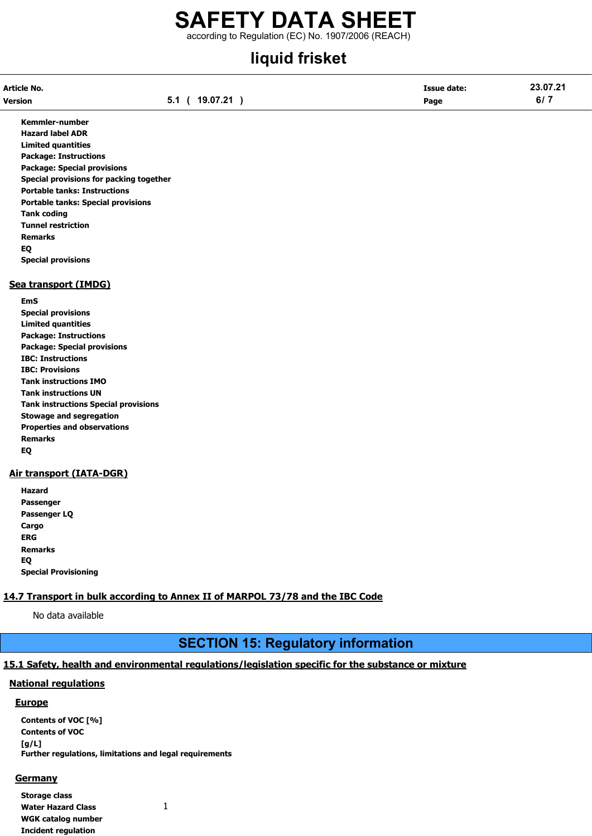# SAFETY DATA SHEET according to Regulation (EC) No. 1907/2006 (REACH)

# liquid frisket

| Article No. |                | <b>Issue date:</b> | 23.07.21 |
|-------------|----------------|--------------------|----------|
| Version     | 5.1 ( 19.07.21 | Page               | 6/7      |

Kemmler-number Hazard label ADR Limited quantities Package: Instructions Package: Special provisions Special provisions for packing together Portable tanks: Instructions Portable tanks: Special provisions Tank coding Tunnel restriction Remarks EQ Special provisions

#### Sea transport (IMDG)

EmS Special provisions Limited quantities Package: Instructions Package: Special provisions IBC: Instructions IBC: Provisions Tank instructions IMO Tank instructions UN Tank instructions Special provisions Stowage and segregation Properties and observations Remarks EQ

#### Air transport (IATA-DGR)

Hazard Passenger Passenger LQ Cargo ERG Remarks EQ Special Provisioning

#### 14.7 Transport in bulk according to Annex II of MARPOL 73/78 and the IBC Code

No data available

# SECTION 15: Regulatory information

#### 15.1 Safety, health and environmental regulations/legislation specific for the substance or mixture

#### National regulations

#### Europe

Contents of VOC [%] Contents of VOC [g/L] Further regulations, limitations and legal requirements

#### **Germany**

Storage class Water Hazard Class 1 WGK catalog number Incident regulation